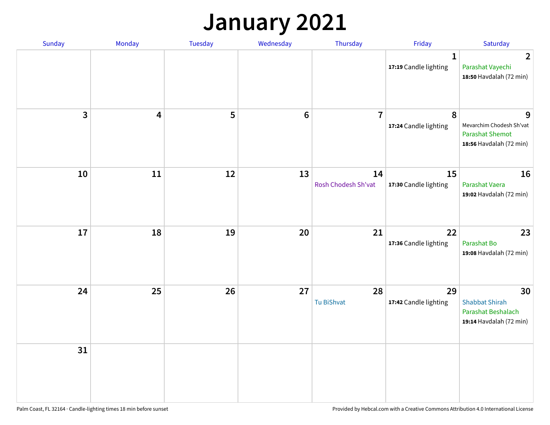## **January 2021**

| Sunday                  | Monday                  | Tuesday | Wednesday | Thursday                  | Friday                                | Saturday                                                                           |
|-------------------------|-------------------------|---------|-----------|---------------------------|---------------------------------------|------------------------------------------------------------------------------------|
|                         |                         |         |           |                           | $\mathbf{1}$<br>17:19 Candle lighting | $\overline{2}$<br>Parashat Vayechi<br>18:50 Havdalah (72 min)                      |
| $\overline{\mathbf{3}}$ | $\overline{\mathbf{4}}$ | 5       | $\bf 6$   | $\overline{7}$            | 8<br>17:24 Candle lighting            | 9<br>Mevarchim Chodesh Sh'vat<br><b>Parashat Shemot</b><br>18:56 Havdalah (72 min) |
| 10                      | 11                      | 12      | 13        | 14<br>Rosh Chodesh Sh'vat | 15<br>17:30 Candle lighting           | 16<br>Parashat Vaera<br>19:02 Havdalah (72 min)                                    |
| 17                      | 18                      | 19      | 20        | 21                        | 22<br>17:36 Candle lighting           | 23<br>Parashat Bo<br>19:08 Havdalah (72 min)                                       |
| 24                      | 25                      | 26      | 27        | 28<br>Tu BiShvat          | 29<br>17:42 Candle lighting           | 30<br><b>Shabbat Shirah</b><br>Parashat Beshalach<br>19:14 Havdalah (72 min)       |
| 31                      |                         |         |           |                           |                                       |                                                                                    |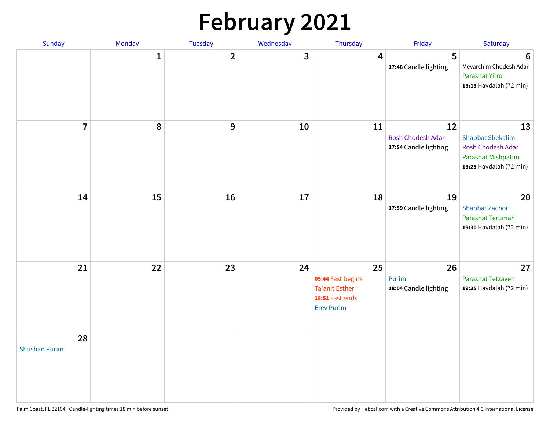# **February 2021**

| <b>Sunday</b>              | Monday       | Tuesday        | Wednesday  | Thursday                                                                                 | Friday                                           | Saturday                                                                                            |
|----------------------------|--------------|----------------|------------|------------------------------------------------------------------------------------------|--------------------------------------------------|-----------------------------------------------------------------------------------------------------|
|                            | $\mathbf{1}$ | $\overline{2}$ | 3          | 4                                                                                        | 5<br>17:48 Candle lighting                       | 6<br>Mevarchim Chodesh Adar<br>Parashat Yitro<br>19:19 Havdalah (72 min)                            |
| $\overline{7}$             | 8            | 9              | 10         | 11                                                                                       | 12<br>Rosh Chodesh Adar<br>17:54 Candle lighting | 13<br><b>Shabbat Shekalim</b><br>Rosh Chodesh Adar<br>Parashat Mishpatim<br>19:25 Havdalah (72 min) |
| 14                         | 15           | 16             | ${\bf 17}$ | 18                                                                                       | 19<br>17:59 Candle lighting                      | 20<br><b>Shabbat Zachor</b><br>Parashat Terumah<br>19:30 Havdalah (72 min)                          |
| 21                         | 22           | 23             | 24         | 25<br>05:44 Fast begins<br><b>Ta'anit Esther</b><br>18:51 Fast ends<br><b>Erev Purim</b> | 26<br>Purim<br>18:04 Candle lighting             | 27<br>Parashat Tetzaveh<br>19:35 Havdalah (72 min)                                                  |
| 28<br><b>Shushan Purim</b> |              |                |            |                                                                                          |                                                  |                                                                                                     |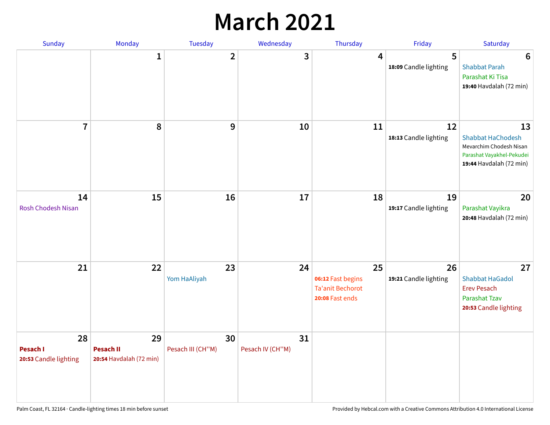## **March 2021**

| Sunday                                  | Monday                                            | Tuesday                 | Wednesday              | Thursday                                                              | Friday                      | Saturday                                                                                                          |
|-----------------------------------------|---------------------------------------------------|-------------------------|------------------------|-----------------------------------------------------------------------|-----------------------------|-------------------------------------------------------------------------------------------------------------------|
|                                         | 1                                                 | $\mathbf{2}$            | 3                      | 4                                                                     | 5<br>18:09 Candle lighting  | $6\phantom{1}6$<br><b>Shabbat Parah</b><br>Parashat Ki Tisa<br>19:40 Havdalah (72 min)                            |
| $\overline{7}$                          | 8                                                 | 9                       | 10                     | 11                                                                    | 12<br>18:13 Candle lighting | 13<br><b>Shabbat HaChodesh</b><br>Mevarchim Chodesh Nisan<br>Parashat Vayakhel-Pekudei<br>19:44 Havdalah (72 min) |
| 14<br><b>Rosh Chodesh Nisan</b>         | 15                                                | 16                      | 17                     | 18                                                                    | 19<br>19:17 Candle lighting | 20<br>Parashat Vayikra<br>20:48 Havdalah (72 min)                                                                 |
| 21                                      | 22                                                | 23<br>Yom HaAliyah      | 24                     | 25<br>06:12 Fast begins<br><b>Ta'anit Bechorot</b><br>20:08 Fast ends | 26<br>19:21 Candle lighting | 27<br><b>Shabbat HaGadol</b><br><b>Erev Pesach</b><br>Parashat Tzav<br>20:53 Candle lighting                      |
| 28<br>Pesach I<br>20:53 Candle lighting | 29<br><b>Pesach II</b><br>20:54 Havdalah (72 min) | 30<br>Pesach III (CH"M) | 31<br>Pesach IV (CH"M) |                                                                       |                             |                                                                                                                   |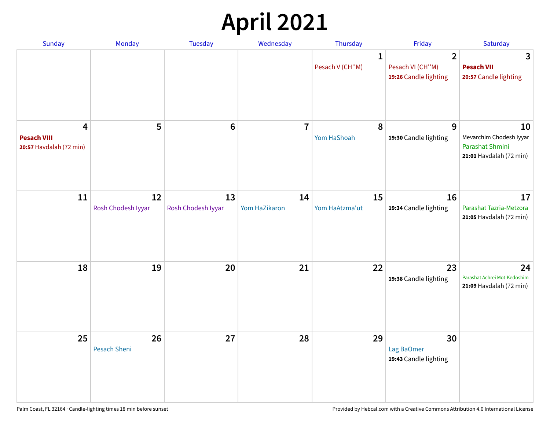# **April 2021**

| Sunday                                             | Monday                    | <b>Tuesday</b>           | Wednesday           | Thursday                        | Friday                                                      | Saturday                                                                    |
|----------------------------------------------------|---------------------------|--------------------------|---------------------|---------------------------------|-------------------------------------------------------------|-----------------------------------------------------------------------------|
|                                                    |                           |                          |                     | $\mathbf{1}$<br>Pesach V (CH"M) | $\overline{2}$<br>Pesach VI (CH"M)<br>19:26 Candle lighting | 3<br><b>Pesach VII</b><br>20:57 Candle lighting                             |
| 4<br><b>Pesach VIII</b><br>20:57 Havdalah (72 min) | 5                         | $6\phantom{1}6$          | $\overline{7}$      | 8<br>Yom HaShoah                | 9<br>19:30 Candle lighting                                  | 10<br>Mevarchim Chodesh Iyyar<br>Parashat Shmini<br>21:01 Havdalah (72 min) |
| 11                                                 | 12<br>Rosh Chodesh Iyyar  | 13<br>Rosh Chodesh Iyyar | 14<br>Yom HaZikaron | 15<br>Yom HaAtzma'ut            | 16<br>19:34 Candle lighting                                 | 17<br>Parashat Tazria-Metzora<br>21:05 Havdalah (72 min)                    |
| 18                                                 | 19                        | 20                       | 21                  | 22                              | 23<br>19:38 Candle lighting                                 | 24<br>Parashat Achrei Mot-Kedoshim<br>21:09 Havdalah (72 min)               |
| 25                                                 | 26<br><b>Pesach Sheni</b> | 27                       | 28                  | 29                              | 30<br>Lag BaOmer<br>19:43 Candle lighting                   |                                                                             |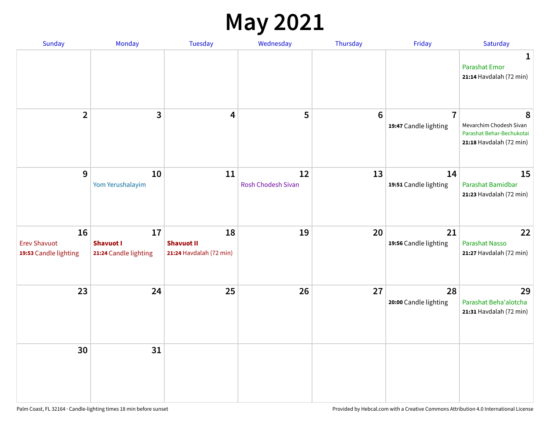#### **May 2021**

| Sunday                                             | Monday                                          | Tuesday                                            | Wednesday                       | Thursday       | Friday                                  | Saturday                                                                             |
|----------------------------------------------------|-------------------------------------------------|----------------------------------------------------|---------------------------------|----------------|-----------------------------------------|--------------------------------------------------------------------------------------|
|                                                    |                                                 |                                                    |                                 |                |                                         | 1<br><b>Parashat Emor</b><br>21:14 Havdalah (72 min)                                 |
| $\overline{2}$                                     | $\overline{3}$                                  | 4                                                  | 5                               | $6\phantom{1}$ | $\overline{7}$<br>19:47 Candle lighting | 8<br>Mevarchim Chodesh Sivan<br>Parashat Behar-Bechukotai<br>21:18 Havdalah (72 min) |
| $\mathbf{9}$                                       | 10<br>Yom Yerushalayim                          | 11                                                 | 12<br><b>Rosh Chodesh Sivan</b> | 13             | 14<br>19:51 Candle lighting             | 15<br>Parashat Bamidbar<br>21:23 Havdalah (72 min)                                   |
| 16<br><b>Erev Shavuot</b><br>19:53 Candle lighting | 17<br><b>Shavuot I</b><br>21:24 Candle lighting | 18<br><b>Shavuot II</b><br>21:24 Havdalah (72 min) | 19                              | 20             | 21<br>19:56 Candle lighting             | 22<br><b>Parashat Nasso</b><br>21:27 Havdalah (72 min)                               |
| 23                                                 | 24                                              | 25                                                 | 26                              | 27             | 28<br>20:00 Candle lighting             | 29<br>Parashat Beha'alotcha<br>21:31 Havdalah (72 min)                               |
| 30                                                 | 31                                              |                                                    |                                 |                |                                         |                                                                                      |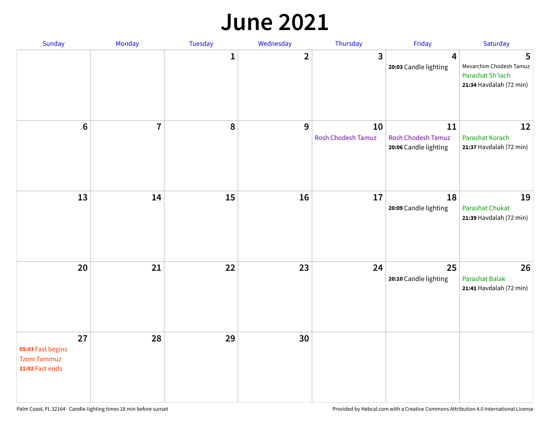#### **June 2021**

| Sunday                                                           | Monday         | Tuesday      | Wednesday               | Thursday                        | Friday                                                   | Saturday                                                                    |
|------------------------------------------------------------------|----------------|--------------|-------------------------|---------------------------------|----------------------------------------------------------|-----------------------------------------------------------------------------|
|                                                                  |                | $\mathbf{1}$ | $\overline{\mathbf{2}}$ | 3                               | 4<br>20:03 Candle lighting                               | 5<br>Mevarchim Chodesh Tamuz<br>Parashat Sh'lach<br>21:34 Havdalah (72 min) |
| $\bf 6$                                                          | $\overline{7}$ | 8            | 9                       | 10<br><b>Rosh Chodesh Tamuz</b> | 11<br><b>Rosh Chodesh Tamuz</b><br>20:06 Candle lighting | 12<br>Parashat Korach<br>21:37 Havdalah (72 min)                            |
| 13                                                               | 14             | 15           | 16                      | 17                              | 18<br>20:09 Candle lighting                              | 19<br>Parashat Chukat<br>21:39 Havdalah (72 min)                            |
| 20                                                               | 21             | 22           | 23                      | 24                              | 25<br>20:10 Candle lighting                              | 26<br><b>Parashat Balak</b><br>21:41 Havdalah (72 min)                      |
| 27<br>05:03 Fast begins<br><b>Tzom Tammuz</b><br>21:02 Fast ends | 28             | 29           | 30                      |                                 |                                                          |                                                                             |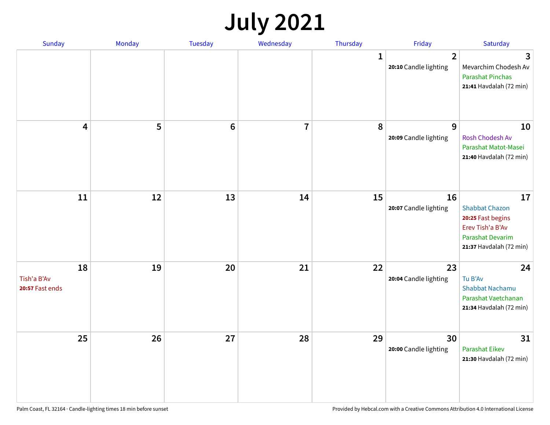## **July 2021**

| <b>Sunday</b>                        | Monday | Tuesday | Wednesday | Thursday     | Friday                                  | Saturday                                                                                                                   |
|--------------------------------------|--------|---------|-----------|--------------|-----------------------------------------|----------------------------------------------------------------------------------------------------------------------------|
|                                      |        |         |           | $\mathbf{1}$ | $\overline{2}$<br>20:10 Candle lighting | 3<br>Mevarchim Chodesh Av<br><b>Parashat Pinchas</b><br>21:41 Havdalah (72 min)                                            |
| 4                                    | 5      | $\bf 6$ | 7         | 8            | 9<br>20:09 Candle lighting              | 10<br>Rosh Chodesh Av<br>Parashat Matot-Masei<br>21:40 Havdalah (72 min)                                                   |
| 11                                   | 12     | 13      | 14        | 15           | 16<br>20:07 Candle lighting             | 17<br><b>Shabbat Chazon</b><br>20:25 Fast begins<br>Erev Tish'a B'Av<br><b>Parashat Devarim</b><br>21:37 Havdalah (72 min) |
| 18<br>Tish'a B'Av<br>20:57 Fast ends | 19     | 20      | 21        | 22           | 23<br>20:04 Candle lighting             | 24<br>Tu B'Av<br>Shabbat Nachamu<br>Parashat Vaetchanan<br>21:34 Havdalah (72 min)                                         |
| 25                                   | 26     | 27      | 28        | 29           | 30<br>20:00 Candle lighting             | 31<br>Parashat Eikev<br>21:30 Havdalah (72 min)                                                                            |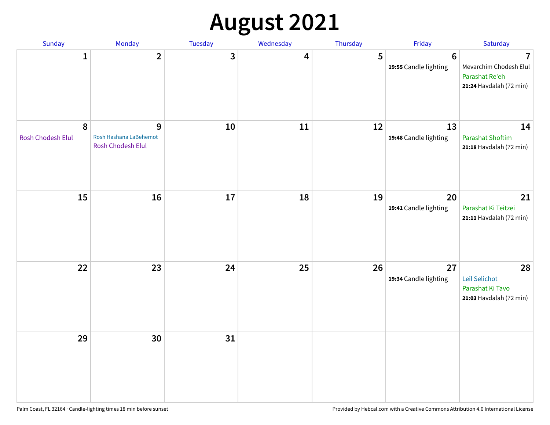# **August 2021**

| Sunday                 | Monday                                           | Tuesday | Wednesday | Thursday | Friday                                  | Saturday                                                                                       |
|------------------------|--------------------------------------------------|---------|-----------|----------|-----------------------------------------|------------------------------------------------------------------------------------------------|
| $\mathbf{1}$           | $\overline{2}$                                   | 3       | 4         | 5        | $6\phantom{1}$<br>19:55 Candle lighting | $\overline{\mathbf{7}}$<br>Mevarchim Chodesh Elul<br>Parashat Re'eh<br>21:24 Havdalah (72 min) |
| 8<br>Rosh Chodesh Elul | 9<br>Rosh Hashana LaBehemot<br>Rosh Chodesh Elul | 10      | 11        | 12       | 13<br>19:48 Candle lighting             | 14<br><b>Parashat Shoftim</b><br>21:18 Havdalah (72 min)                                       |
| 15                     | 16                                               | 17      | 18        | 19       | 20<br>19:41 Candle lighting             | 21<br>Parashat Ki Teitzei<br>21:11 Havdalah (72 min)                                           |
| 22                     | 23                                               | 24      | 25        | 26       | 27<br>19:34 Candle lighting             | 28<br>Leil Selichot<br>Parashat Ki Tavo<br>21:03 Havdalah (72 min)                             |
| 29                     | 30                                               | 31      |           |          |                                         |                                                                                                |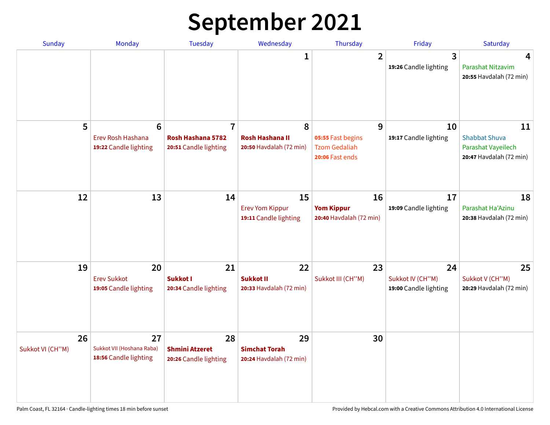# **September 2021**

| <b>Sunday</b>          | Monday                                                        | <b>Tuesday</b>                                               | Wednesday                                              | Thursday                                                          | Friday                                          | Saturday                                                                    |
|------------------------|---------------------------------------------------------------|--------------------------------------------------------------|--------------------------------------------------------|-------------------------------------------------------------------|-------------------------------------------------|-----------------------------------------------------------------------------|
|                        |                                                               |                                                              | 1                                                      | $\overline{2}$                                                    | 3<br>19:26 Candle lighting                      | 4<br>Parashat Nitzavim<br>20:55 Havdalah (72 min)                           |
| 5                      | $6\phantom{1}6$<br>Erev Rosh Hashana<br>19:22 Candle lighting | $\overline{7}$<br>Rosh Hashana 5782<br>20:51 Candle lighting | 8<br><b>Rosh Hashana II</b><br>20:50 Havdalah (72 min) | 9<br>05:55 Fast begins<br><b>Tzom Gedaliah</b><br>20:06 Fast ends | 10<br>19:17 Candle lighting                     | 11<br><b>Shabbat Shuva</b><br>Parashat Vayeilech<br>20:47 Havdalah (72 min) |
| 12                     | 13                                                            | 14                                                           | 15<br><b>Erev Yom Kippur</b><br>19:11 Candle lighting  | 16<br><b>Yom Kippur</b><br>20:40 Havdalah (72 min)                | 17<br>19:09 Candle lighting                     | 18<br>Parashat Ha'Azinu<br>20:38 Havdalah (72 min)                          |
| 19                     | 20<br><b>Erev Sukkot</b><br>19:05 Candle lighting             | 21<br>Sukkot I<br>20:34 Candle lighting                      | 22<br><b>Sukkot II</b><br>20:33 Havdalah (72 min)      | 23<br>Sukkot III (CH"M)                                           | 24<br>Sukkot IV (CH"M)<br>19:00 Candle lighting | 25<br>Sukkot V (CH"M)<br>20:29 Havdalah (72 min)                            |
| 26<br>Sukkot VI (CH"M) | 27<br>Sukkot VII (Hoshana Raba)<br>18:56 Candle lighting      | 28<br><b>Shmini Atzeret</b><br>20:26 Candle lighting         | 29<br><b>Simchat Torah</b><br>20:24 Havdalah (72 min)  | 30                                                                |                                                 |                                                                             |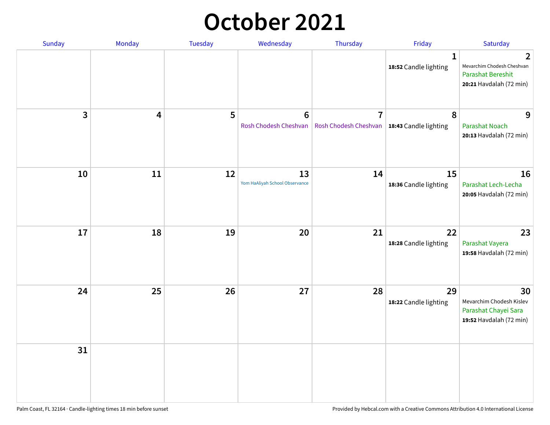#### **October 2021**

| Sunday | Monday | Tuesday | Wednesday                                | Thursday                                                        | Friday                                | Saturday                                                                               |
|--------|--------|---------|------------------------------------------|-----------------------------------------------------------------|---------------------------------------|----------------------------------------------------------------------------------------|
|        |        |         |                                          |                                                                 | $\mathbf{1}$<br>18:52 Candle lighting | 2<br>Mevarchim Chodesh Cheshvan<br><b>Parashat Bereshit</b><br>20:21 Havdalah (72 min) |
| 3      | 4      | 5       | $6\phantom{1}6$<br>Rosh Chodesh Cheshvan | $\overline{7}$<br>Rosh Chodesh Cheshvan   18:43 Candle lighting | 8                                     | 9<br>Parashat Noach<br>20:13 Havdalah (72 min)                                         |
| 10     | 11     | 12      | 13<br>Yom HaAliyah School Observance     | 14                                                              | 15<br>18:36 Candle lighting           | 16<br>Parashat Lech-Lecha<br>20:05 Havdalah (72 min)                                   |
| 17     | 18     | 19      | 20                                       | 21                                                              | 22<br>18:28 Candle lighting           | 23<br>Parashat Vayera<br>19:58 Havdalah (72 min)                                       |
| 24     | 25     | 26      | 27                                       | 28                                                              | 29<br>18:22 Candle lighting           | 30<br>Mevarchim Chodesh Kislev<br>Parashat Chayei Sara<br>19:52 Havdalah (72 min)      |
| 31     |        |         |                                          |                                                                 |                                       |                                                                                        |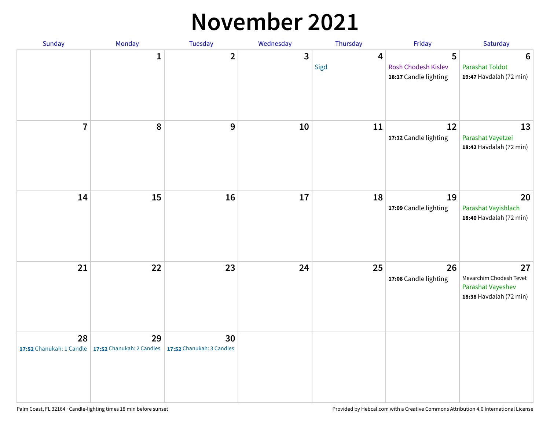#### **November 2021**

| Sunday         | Monday                                                           | Tuesday                         | Wednesday    | Thursday               | Friday                                            | Saturday                                                                      |
|----------------|------------------------------------------------------------------|---------------------------------|--------------|------------------------|---------------------------------------------------|-------------------------------------------------------------------------------|
|                | $\mathbf 1$                                                      | $\overline{2}$                  | $\mathbf{3}$ | $\overline{4}$<br>Sigd | 5<br>Rosh Chodesh Kislev<br>18:17 Candle lighting | $6\phantom{1}6$<br><b>Parashat Toldot</b><br>19:47 Havdalah (72 min)          |
| $\overline{7}$ | 8                                                                | 9                               | 10           | 11                     | 12<br>17:12 Candle lighting                       | 13<br>Parashat Vayetzei<br>18:42 Havdalah (72 min)                            |
| 14             | 15                                                               | 16                              | 17           | 18                     | 19<br>17:09 Candle lighting                       | 20<br>Parashat Vayishlach<br>18:40 Havdalah (72 min)                          |
| 21             | 22                                                               | 23                              | 24           | 25                     | 26<br>17:08 Candle lighting                       | 27<br>Mevarchim Chodesh Tevet<br>Parashat Vayeshev<br>18:38 Havdalah (72 min) |
| 28             | 29<br>17:52 Chanukah: 1 Candle $\vert$ 17:52 Chanukah: 2 Candles | 30<br>17:52 Chanukah: 3 Candles |              |                        |                                                   |                                                                               |